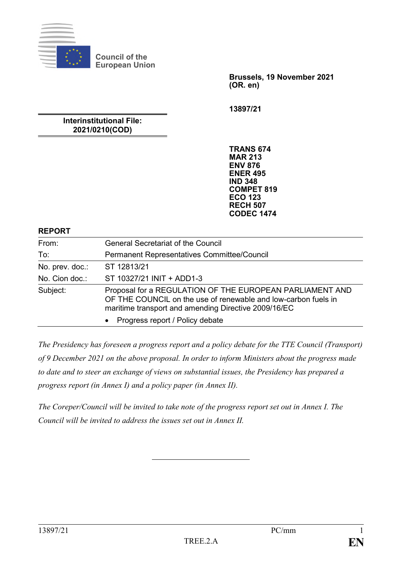

**Brussels, 19 November 2021 (OR. en)**

**13897/21**

### **Interinstitutional File: 2021/0210(COD)**

**Council of the European Union**

> **TRANS 674 MAR 213 ENV 876 ENER 495 IND 348 COMPET 819 ECO 123 RECH 507 CODEC 1474**

#### **REPORT**

| From:           | <b>General Secretariat of the Council</b>                                                                                                                                          |
|-----------------|------------------------------------------------------------------------------------------------------------------------------------------------------------------------------------|
| To:             | Permanent Representatives Committee/Council                                                                                                                                        |
| No. prev. doc.: | ST 12813/21                                                                                                                                                                        |
| No. Cion doc.:  | ST 10327/21 INIT + ADD1-3                                                                                                                                                          |
| Subject:        | Proposal for a REGULATION OF THE EUROPEAN PARLIAMENT AND<br>OF THE COUNCIL on the use of renewable and low-carbon fuels in<br>maritime transport and amending Directive 2009/16/EC |
|                 | Progress report / Policy debate<br>$\bullet$                                                                                                                                       |

*The Presidency has foreseen a progress report and a policy debate for the TTE Council (Transport) of 9 December 2021 on the above proposal. In order to inform Ministers about the progress made to date and to steer an exchange of views on substantial issues, the Presidency has prepared a progress report (in Annex I) and a policy paper (in Annex II).*

*The Coreper/Council will be invited to take note of the progress report set out in Annex I. The Council will be invited to address the issues set out in Annex II.*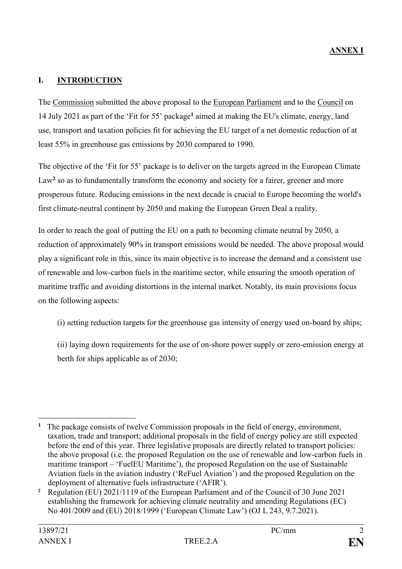### **I. INTRODUCTION**

The Commission submitted the above proposal to the European Parliament and to the Council on 14 July 2021 as part of the 'Fit for 55' package**<sup>1</sup>** aimed at making the EU's climate, energy, land use, transport and taxation policies fit for achieving the EU target of a net domestic reduction of at least 55% in greenhouse gas emissions by 2030 compared to 1990.

The objective of the 'Fit for 55' package is to deliver on the targets agreed in the European Climate Law<sup>2</sup> so as to fundamentally transform the economy and society for a fairer, greener and more prosperous future. Reducing emissions in the next decade is crucial to Europe becoming the world's first climate-neutral continent by 2050 and making the European Green Deal a reality.

In order to reach the goal of putting the EU on a path to becoming climate neutral by 2050, a reduction of approximately 90% in transport emissions would be needed. The above proposal would play a significant role in this, since its main objective is to increase the demand and a consistent use of renewable and low-carbon fuels in the maritime sector, while ensuring the smooth operation of maritime traffic and avoiding distortions in the internal market. Notably, its main provisions focus on the following aspects:

(i) setting reduction targets for the greenhouse gas intensity of energy used on-board by ships;

(ii) laying down requirements for the use of on-shore power supply or zero-emission energy at berth for ships applicable as of 2030;

<sup>1</sup> **1** The package consists of twelve Commission proposals in the field of energy, environment, taxation, trade and transport; additional proposals in the field of energy policy are still expected before the end of this year. Three legislative proposals are directly related to transport policies: the above proposal (i.e. the proposed Regulation on the use of renewable and low-carbon fuels in maritime transport – 'FuelEU Maritime'), the proposed Regulation on the use of Sustainable Aviation fuels in the aviation industry ('ReFuel Aviation') and the proposed Regulation on the deployment of alternative fuels infrastructure ('AFIR').

**<sup>2</sup>** Regulation (EU) 2021/1119 of the European Parliament and of the Council of 30 June 2021 establishing the framework for achieving climate neutrality and amending Regulations (EC) No 401/2009 and (EU) 2018/1999 ('European Climate Law') (OJ L 243, 9.7.2021).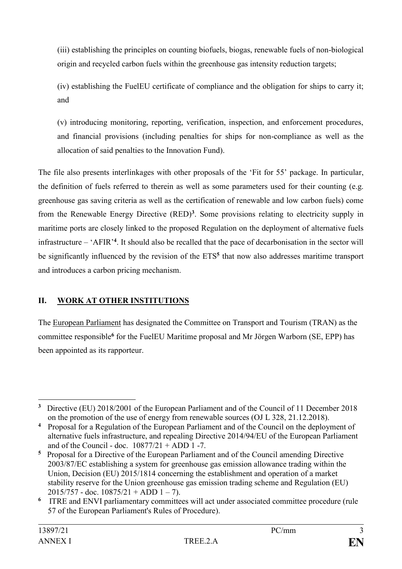(iii) establishing the principles on counting biofuels, biogas, renewable fuels of non-biological origin and recycled carbon fuels within the greenhouse gas intensity reduction targets;

(iv) establishing the FuelEU certificate of compliance and the obligation for ships to carry it; and

(v) introducing monitoring, reporting, verification, inspection, and enforcement procedures, and financial provisions (including penalties for ships for non-compliance as well as the allocation of said penalties to the Innovation Fund).

The file also presents interlinkages with other proposals of the 'Fit for 55' package. In particular, the definition of fuels referred to therein as well as some parameters used for their counting (e.g. greenhouse gas saving criteria as well as the certification of renewable and low carbon fuels) come from the Renewable Energy Directive (RED)**<sup>3</sup>** . Some provisions relating to electricity supply in maritime ports are closely linked to the proposed Regulation on the deployment of alternative fuels infrastructure – 'AFIR' **4** . It should also be recalled that the pace of decarbonisation in the sector will be significantly influenced by the revision of the ETS**<sup>5</sup>** that now also addresses maritime transport and introduces a carbon pricing mechanism.

# **II. WORK AT OTHER INSTITUTIONS**

The European Parliament has designated the Committee on Transport and Tourism (TRAN) as the committee responsible**<sup>6</sup>** for the FuelEU Maritime proposal and Mr Jörgen Warborn (SE, EPP) has been appointed as its rapporteur.

<sup>&</sup>lt;u>.</u> <sup>3</sup> Directive (EU) 2018/2001 of the European Parliament and of the Council of 11 December 2018 on the promotion of the use of energy from renewable sources (OJ L 328, 21.12.2018).

**<sup>4</sup>** Proposal for a Regulation of the European Parliament and of the Council on the deployment of alternative fuels infrastructure, and repealing Directive 2014/94/EU of the European Parliament and of the Council - doc.  $10877/21 + ADD 1 - 7$ .

**<sup>5</sup>** Proposal for a Directive of the European Parliament and of the Council amending Directive 2003/87/EC establishing a system for greenhouse gas emission allowance trading within the Union, Decision (EU) 2015/1814 concerning the establishment and operation of a market stability reserve for the Union greenhouse gas emission trading scheme and Regulation (EU)  $2015/757$  - doc.  $10875/21 + ADD 1 - 7$ ).

<sup>&</sup>lt;sup>6</sup> ITRE and ENVI parliamentary committees will act under associated committee procedure (rule 57 of the European Parliament's Rules of Procedure).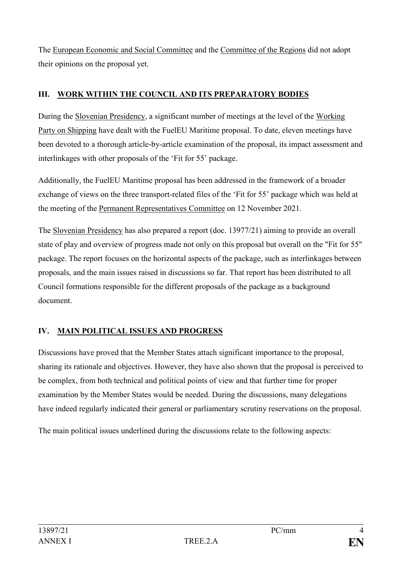The European Economic and Social Committee and the Committee of the Regions did not adopt their opinions on the proposal yet.

## **III. WORK WITHIN THE COUNCIL AND ITS PREPARATORY BODIES**

During the Slovenian Presidency, a significant number of meetings at the level of the Working Party on Shipping have dealt with the FuelEU Maritime proposal. To date, eleven meetings have been devoted to a thorough article-by-article examination of the proposal, its impact assessment and interlinkages with other proposals of the 'Fit for 55' package.

Additionally, the FuelEU Maritime proposal has been addressed in the framework of a broader exchange of views on the three transport-related files of the 'Fit for 55' package which was held at the meeting of the Permanent Representatives Committee on 12 November 2021.

The Slovenian Presidency has also prepared a report (doc. 13977/21) aiming to provide an overall state of play and overview of progress made not only on this proposal but overall on the "Fit for 55" package. The report focuses on the horizontal aspects of the package, such as interlinkages between proposals, and the main issues raised in discussions so far. That report has been distributed to all Council formations responsible for the different proposals of the package as a background document.

# **IV. MAIN POLITICAL ISSUES AND PROGRESS**

Discussions have proved that the Member States attach significant importance to the proposal, sharing its rationale and objectives. However, they have also shown that the proposal is perceived to be complex, from both technical and political points of view and that further time for proper examination by the Member States would be needed. During the discussions, many delegations have indeed regularly indicated their general or parliamentary scrutiny reservations on the proposal.

The main political issues underlined during the discussions relate to the following aspects: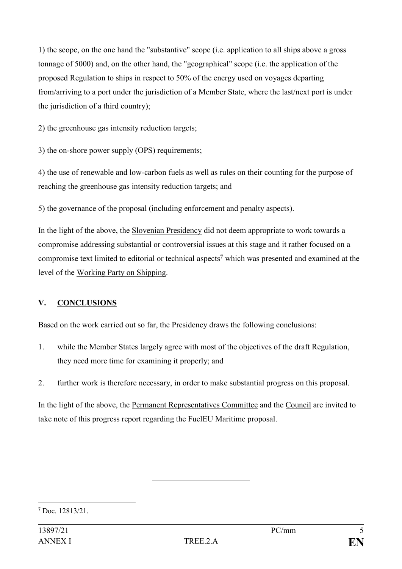1) the scope, on the one hand the "substantive" scope (i.e. application to all ships above a gross tonnage of 5000) and, on the other hand, the "geographical" scope (i.e. the application of the proposed Regulation to ships in respect to 50% of the energy used on voyages departing from/arriving to a port under the jurisdiction of a Member State, where the last/next port is under the jurisdiction of a third country);

2) the greenhouse gas intensity reduction targets;

3) the on-shore power supply (OPS) requirements;

4) the use of renewable and low-carbon fuels as well as rules on their counting for the purpose of reaching the greenhouse gas intensity reduction targets; and

5) the governance of the proposal (including enforcement and penalty aspects).

In the light of the above, the Slovenian Presidency did not deem appropriate to work towards a compromise addressing substantial or controversial issues at this stage and it rather focused on a compromise text limited to editorial or technical aspects**<sup>7</sup>** which was presented and examined at the level of the Working Party on Shipping.

### **V. CONCLUSIONS**

Based on the work carried out so far, the Presidency draws the following conclusions:

- 1. while the Member States largely agree with most of the objectives of the draft Regulation, they need more time for examining it properly; and
- 2. further work is therefore necessary, in order to make substantial progress on this proposal.

In the light of the above, the Permanent Representatives Committee and the Council are invited to take note of this progress report regarding the FuelEU Maritime proposal.

<sup>1</sup> **<sup>7</sup>** Doc. 12813/21.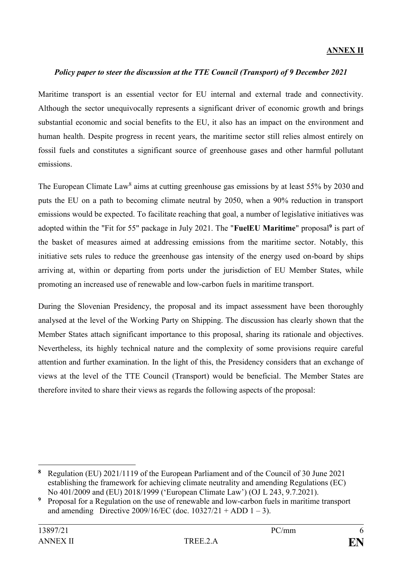### **ANNEX II**

#### *Policy paper to steer the discussion at the TTE Council (Transport) of 9 December 2021*

Maritime transport is an essential vector for EU internal and external trade and connectivity. Although the sector unequivocally represents a significant driver of economic growth and brings substantial economic and social benefits to the EU, it also has an impact on the environment and human health. Despite progress in recent years, the maritime sector still relies almost entirely on fossil fuels and constitutes a significant source of greenhouse gases and other harmful pollutant emissions.

The European Climate Law<sup>8</sup> aims at cutting greenhouse gas emissions by at least 55% by 2030 and puts the EU on a path to becoming climate neutral by 2050, when a 90% reduction in transport emissions would be expected. To facilitate reaching that goal, a number of legislative initiatives was adopted within the "Fit for 55" package in July 2021. The "**FuelEU Maritime**" proposal**<sup>9</sup>** is part of the basket of measures aimed at addressing emissions from the maritime sector. Notably, this initiative sets rules to reduce the greenhouse gas intensity of the energy used on-board by ships arriving at, within or departing from ports under the jurisdiction of EU Member States, while promoting an increased use of renewable and low-carbon fuels in maritime transport.

During the Slovenian Presidency, the proposal and its impact assessment have been thoroughly analysed at the level of the Working Party on Shipping. The discussion has clearly shown that the Member States attach significant importance to this proposal, sharing its rationale and objectives. Nevertheless, its highly technical nature and the complexity of some provisions require careful attention and further examination. In the light of this, the Presidency considers that an exchange of views at the level of the TTE Council (Transport) would be beneficial. The Member States are therefore invited to share their views as regards the following aspects of the proposal:

1

**<sup>8</sup>** Regulation (EU) 2021/1119 of the European Parliament and of the Council of 30 June 2021 establishing the framework for achieving climate neutrality and amending Regulations (EC) No 401/2009 and (EU) 2018/1999 ('European Climate Law') (OJ L 243, 9.7.2021).

**<sup>9</sup>** Proposal for a Regulation on the use of renewable and low-carbon fuels in maritime transport and amending Directive 2009/16/EC (doc.  $10327/21 + ADD 1 - 3$ ).